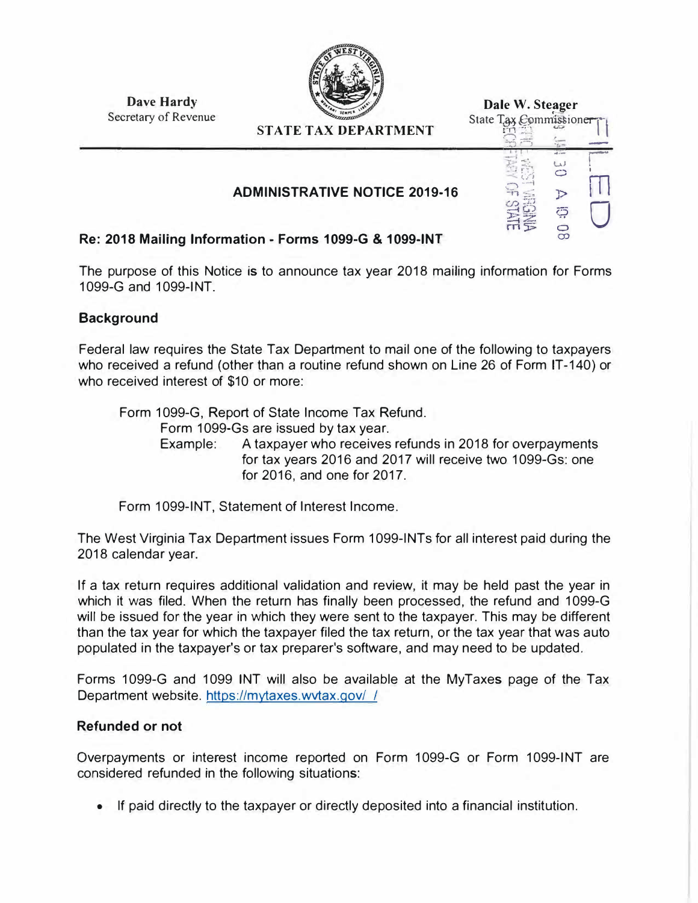

| <b>Dave Hardy</b>    |
|----------------------|
| Secretary of Revenue |

| <b>STATE TAX DEPARTMENT</b>          | Dale W. Steager<br>State Tax Commissioner |
|--------------------------------------|-------------------------------------------|
| <b>ADMINISTRATIVE NOTICE 2019-16</b> | Ģ                                         |
| ation - Forms 1099-G & 1099-INT      | $\bigcirc$                                |

# **Re: 2018 Mailing Information** - **Forms 1099-G** & **1099-INT**

The purpose of this Notice is to announce tax year 2018 mailing information for Forms 1099-G and 1099-INT

## **Background**

Federal law requires the State Tax Department to mail one of the following to taxpayers who received a refund (other than a routine refund shown on Line 26 of Form IT-140) or who received interest of \$10 or more:

Form 1099-G, Report of State Income Tax Refund. Form 1099-Gs are issued by tax year. Example: A taxpayer who receives refunds in 2018 for overpayments for tax years 2016 and 2017 will receive two 1099-Gs: one for 2016, and one for 2017.

Form 1099-INT, Statement of Interest Income.

The West Virginia Tax Department issues Form 1099-INTs for all interest paid during the 2018 calendar year.

If a tax return requires additional validation and review, it may be held past the year in which it was filed. When the return has finally been processed, the refund and 1099-G will be issued for the year in which they were sent to the taxpayer. This may be different than the tax year for which the taxpayer filed the tax return, or the tax year that was auto populated in the taxpayer's or tax preparer's software, and may need to be updated.

Forms 1099-G and 1099 INT will also be available at the MyTaxes page of the Tax Department website. https://mytaxes.wvtax.gov/ *I*

## **Refunded or not**

Overpayments or interest income reported on Form 1099-G or Form 1099-INT are considered refunded in the following situations:

• If paid directly to the taxpayer or directly deposited into a financial institution.